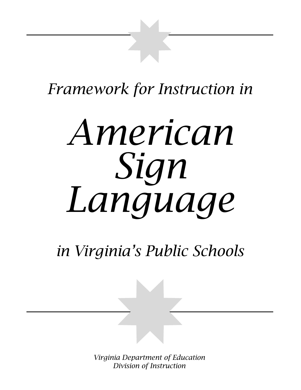# *Framework for Instruction in*

# *American Sign Language*

# *in Virginia's Public Schools*

*Firamework for Instruction in Division of Instruction Virginia Department of Education Division of Instruction*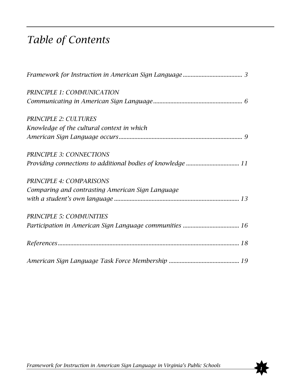# *Table of Contents*

| PRINCIPLE 1: COMMUNICATION                                  |
|-------------------------------------------------------------|
|                                                             |
| <b>PRINCIPLE 2: CULTURES</b>                                |
| Knowledge of the cultural context in which                  |
|                                                             |
| <b>PRINCIPLE 3: CONNECTIONS</b>                             |
| Providing connections to additional bodies of knowledge  11 |
| PRINCIPLE 4: COMPARISONS                                    |
| Comparing and contrasting American Sign Language            |
|                                                             |
| <b>PRINCIPLE 5: COMMUNITIES</b>                             |
|                                                             |
|                                                             |
|                                                             |

*Framework for Instruction in American Sign Language in Virginia's Public Schools* 

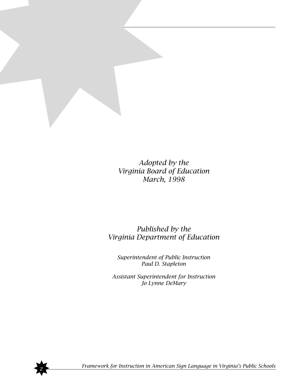

*Adopted by the Virginia Board of Education March, 1998*

#### *Published by the Virginia Department of Education*

*Superintendent of Public Instruction Paul D. Stapleton*

*Assistant Superintendent for Instruction Jo Lynne DeMary*



✸*<sup>2</sup> Framework for Instruction in American Sign Language in Virginia's Public Schools*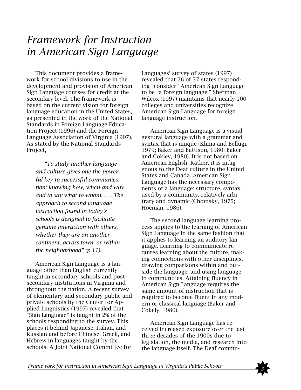# *Framework for Instruction in American Sign Language*

This document provides a framework for school divisions to use in the development and provision of American Sign Language courses for credit at the secondary level. The framework is based on the current vision for foreign language education in the United States, as presented in the work of the National Standards in Foreign Language Education Project (1996) and the Foreign Language Association of Virginia (1997). As stated by the National Standards Project,

*"To study another language and culture gives one the powerful key to successful communication: knowing how, when and why and to say what to whom. . . . The approach to second language instruction found in today's schools is designed to facilitate genuine interaction with others, whether they are on another continent, across town, or within the neighborhood" (p.11).*

American Sign Language is a language other than English currently taught in secondary schools and postsecondary institutions in Virginia and throughout the nation. A recent survey of elementary and secondary public and private schools by the Center for Applied Linguistics (1997) revealed that "Sign Language" is taught in 2% of the schools responding to the survey. This places it behind Japanese, Italian, and Russian and before Chinese, Greek, and Hebrew in languages taught by the schools. A Joint National Committee for

Languages' survey of states (1997) revealed that 26 of 37 states responding "consider" American Sign Language to be "a foreign language." Sherman Wilcox (1997) maintains that nearly 100 colleges and universities recognize American Sign Language for foreign language instruction.

American Sign Language is a visualgestural language with a grammar and syntax that is unique (Klima and Bellugi, 1979; Baker and Battison, 1980; Baker and Cokley, 1980). It is not based on American English. Rather, it is indigenous to the Deaf culture in the United States and Canada. American Sign Language has the necessary components of a language: structure, syntax, used by a community, relatively arbitrary and dynamic (Chomsky, 1975; Hoeman, 1986).

The second language learning process applies to the learning of American Sign Language in the same fashion that it applies to learning an auditory language. Learning to communicate requires learning about the culture, making connections with other disciplines, drawing comparisons within and outside the language, and using language in communities. Attaining fluency in American Sign Language requires the same amount of instruction that is required to become fluent in any modern or classical language (Baker and Cokely, 1980).

American Sign Language has received increased exposure over the last three decades of the 1900s due to legislation, the media, and research into the language itself. The Deaf commu-

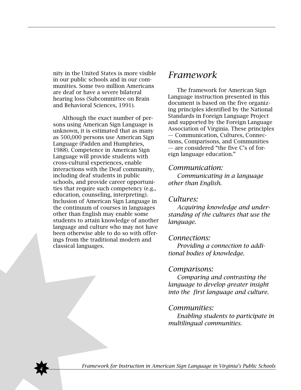nity in the United States is more visible in our public schools and in our communities. Some two million Americans are deaf or have a severe bilateral hearing loss (Subcommittee on Brain and Behavioral Sciences, 1991).

Although the exact number of persons using American Sign Language is unknown, it is estimated that as many as 500,000 persons use American Sign Language (Padden and Humphries, 1988). Competence in American Sign Language will provide students with cross-cultural experiences, enable interactions with the Deaf community, including deaf students in public schools, and provide career opportunities that require such competency (e.g., education, counseling, interpreting). Inclusion of American Sign Language in the continuum of courses in languages other than English may enable some students to attain knowledge of another language and culture who may not have been otherwise able to do so with offerings from the traditional modern and classical languages.

#### *Framework*

The framework for American Sign Language instruction presented in this document is based on the five organizing principles identified by the National Standards in Foreign Language Project and supported by the Foreign Language Association of Virginia. These principles — Communication, Cultures, Connections, Comparisons, and Communities — are considered "the five C's of foreign language education."

#### *Communication:*

*Communicating in a language other than English.*

#### *Cultures:*

*Acquiring knowledge and understanding of the cultures that use the language.*

#### *Connections:*

*Providing a connection to additional bodies of knowledge.*

#### *Comparisons:*

*Comparing and contrasting the language to develop greater insight into the first language and culture.*

#### *Communities:*

*Enabling students to participate in multilingual communities.*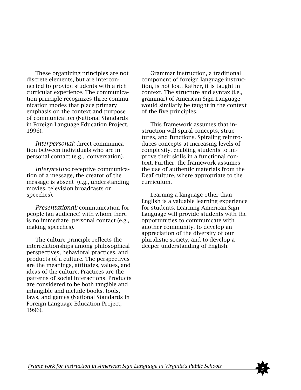These organizing principles are not discrete elements, but are interconnected to provide students with a rich curricular experience. The communication principle recognizes three communication modes that place primary emphasis on the context and purpose of communication (National Standards in Foreign Language Education Project, 1996).

*Interpersonal:* direct communication between individuals who are in personal contact (e.g., conversation).

*Interpretive:* receptive communication of a message, the creator of the message is absent (e.g., understanding movies, television broadcasts or speeches).

*Presentational:* communication for people (an audience) with whom there is no immediate personal contact (e.g., making speeches).

The culture principle reflects the interrelationships among philosophical perspectives, behavioral practices, and products of a culture. The perspectives are the meanings, attitudes, values, and ideas of the culture. Practices are the patterns of social interactions. Products are considered to be both tangible and intangible and include books, tools, laws, and games (National Standards in Foreign Language Education Project, 1996).

Grammar instruction, a traditional component of foreign language instruction, is not lost. Rather, it is taught in context. The structure and syntax (i.e., grammar) of American Sign Language would similarly be taught in the context of the five principles.

This framework assumes that instruction will spiral concepts, structures, and functions. Spiraling reintroduces concepts at increasing levels of complexity, enabling students to improve their skills in a functional context. Further, the framework assumes the use of authentic materials from the Deaf culture, where appropriate to the curriculum.

Learning a language other than English is a valuable learning experience for students. Learning American Sign Language will provide students with the opportunities to communicate with another community, to develop an appreciation of the diversity of our pluralistic society, and to develop a deeper understanding of English.

*Framework for Instruction in American Sign Language in Virginia's Public Schools*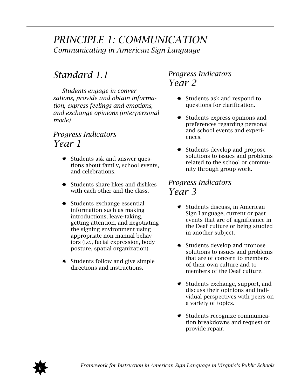## *PRINCIPLE 1: COMMUNICATION Communicating in American Sign Language*

# *Standard 1.1*

*Students engage in conversations, provide and obtain information, express feelings and emotions, and exchange opinions (interpersonal mode)*

#### *Progress Indicators Year 1*

- ✸ Students ask and answer questions about family, school events, and celebrations.
- ✸ Students share likes and dislikes with each other and the class.
- ✸ Students exchange essential information such as making introductions, leave-taking, getting attention, and negotiating the signing environment using appropriate non-manual behaviors (i.e., facial expression, body posture, spatial organization).
- ✸ Students follow and give simple directions and instructions.

#### *Progress Indicators Year 2*

- ✸ Students ask and respond to questions for clarification.
- ✸ Students express opinions and preferences regarding personal and school events and experiences.
- ✸ Students develop and propose solutions to issues and problems related to the school or community through group work.

- ✸ Students discuss, in American Sign Language, current or past events that are of significance in the Deaf culture or being studied in another subject.
- ✸ Students develop and propose solutions to issues and problems that are of concern to members of their own culture and to members of the Deaf culture.
- ✸ Students exchange, support, and discuss their opinions and individual perspectives with peers on a variety of topics.
- ✸ Students recognize communication breakdowns and request or provide repair.

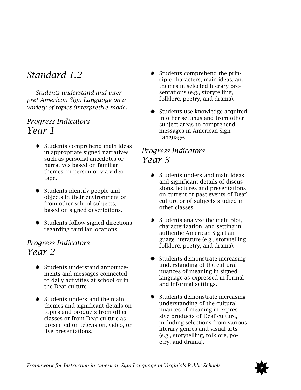# *Standard 1.2*

*Students understand and interpret American Sign Language on a variety of topics (interpretive mode)*

#### *Progress Indicators Year 1*

- ✸ Students comprehend main ideas in appropriate signed narratives such as personal anecdotes or narratives based on familiar themes, in person or via videotape.
- ✸ Students identify people and objects in their environment or from other school subjects, based on signed descriptions.
- ✸ Students follow signed directions regarding familiar locations.

#### *Progress Indicators Year 2*

- ✸ Students understand announcements and messages connected to daily activities at school or in the Deaf culture.
- ✸ Students understand the main themes and significant details on topics and products from other classes or from Deaf culture as presented on television, video, or live presentations.
- ✸ Students comprehend the principle characters, main ideas, and themes in selected literary presentations (e.g., storytelling, folklore, poetry, and drama).
- ✸ Students use knowledge acquired in other settings and from other subject areas to comprehend messages in American Sign Language.

- ✸ Students understand main ideas and significant details of discussions, lectures and presentations on current or past events of Deaf culture or of subjects studied in other classes.
- ✸ Students analyze the main plot, characterization, and setting in authentic American Sign Language literature (e.g., storytelling, folklore, poetry, and drama).
- ✸ Students demonstrate increasing understanding of the cultural nuances of meaning in signed language as expressed in formal and informal settings.
- ✸ Students demonstrate increasing understanding of the cultural nuances of meaning in expressive products of Deaf culture, including selections from various literary genres and visual arts (e.g., storytelling, folklore, poetry, and drama).

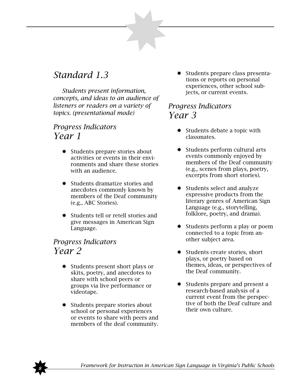# *Standard 1.3*

*Students present information, concepts, and ideas to an audience of listeners or readers on a variety of topics. (presentational mode)*

#### *Progress Indicators Year 1*

- ✸ Students prepare stories about activities or events in their environments and share these stories with an audience.
- ✸ Students dramatize stories and anecdotes commonly known by members of the Deaf community (e.g., ABC Stories).
- ✸ Students tell or retell stories and give messages in American Sign Language.

#### *Progress Indicators Year 2*

- ✸ Students present short plays or skits, poetry, and anecdotes to share with school peers or groups via live performance or videotape.
- ✸ Students prepare stories about school or personal experiences or events to share with peers and members of the deaf community.

✸ Students prepare class presentations or reports on personal experiences, other school subjects, or current events.

- ✸ Students debate a topic with classmates.
- ✸ Students perform cultural arts events commonly enjoyed by members of the Deaf community (e.g., scenes from plays, poetry, excerpts from short stories).
- ✸ Students select and analyze expressive products from the literary genres of American Sign Language (e.g., storytelling, folklore, poetry, and drama).
- ✸ Students perform a play or poem connected to a topic from another subject area.
- ✸ Students create stories, short plays, or poetry based on themes, ideas, or perspectives of the Deaf community.
- ✸ Students prepare and present a research-based analysis of a current event from the perspective of both the Deaf culture and their own culture.

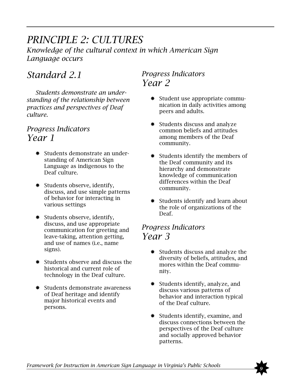# *PRINCIPLE 2: CULTURES*

*Knowledge of the cultural context in which American Sign Language occurs*

# *Standard 2.1*

*Students demonstrate an understanding of the relationship between practices and perspectives of Deaf culture.*

#### *Progress Indicators Year 1*

- ✸ Students demonstrate an understanding of American Sign Language as indigenous to the Deaf culture.
- ✸ Students observe, identify, discuss, and use simple patterns of behavior for interacting in various settings
- ✸ Students observe, identify, discuss, and use appropriate communication for greeting and leave-taking, attention getting, and use of names (i.e., name signs).
- ✸ Students observe and discuss the historical and current role of technology in the Deaf culture.
- ✸ Students demonstrate awareness of Deaf heritage and identify major historical events and persons.

#### *Progress Indicators Year 2*

- ✸ Student use appropriate communication in daily activities among peers and adults.
- ✸ Students discuss and analyze common beliefs and attitudes among members of the Deaf community.
- ✸ Students identify the members of the Deaf community and its hierarchy and demonstrate knowledge of communication differences within the Deaf community.
- ✸ Students identify and learn about the role of organizations of the Deaf.

- ✸ Students discuss and analyze the diversity of beliefs, attitudes, and mores within the Deaf community.
- ✸ Students identify, analyze, and discuss various patterns of behavior and interaction typical of the Deaf culture.
- ✸ Students identify, examine, and discuss connections between the perspectives of the Deaf culture and socially approved behavior patterns.

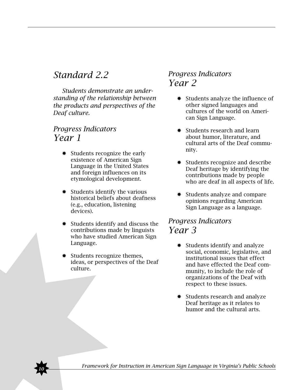# *Standard 2.2*

*Students demonstrate an understanding of the relationship between the products and perspectives of the Deaf culture.*

#### *Progress Indicators Year 1*

- ✸ Students recognize the early existence of American Sign Language in the United States and foreign influences on its etymological development.
- ✸ Students identify the various historical beliefs about deafness (e.g., education, listening devices).
- ✸ Students identify and discuss the contributions made by linguists who have studied American Sign Language.
- ✸ Students recognize themes, ideas, or perspectives of the Deaf culture.

#### *Progress Indicators Year 2*

- ✸ Students analyze the influence of other signed languages and cultures of the world on American Sign Language.
- Students research and learn about humor, literature, and cultural arts of the Deaf community.
- ✸ Students recognize and describe Deaf heritage by identifying the contributions made by people who are deaf in all aspects of life.
- ✸ Students analyze and compare opinions regarding American Sign Language as a language.

- ✸ Students identify and analyze social, economic, legislative, and institutional issues that effect and have effected the Deaf community, to include the role of organizations of the Deaf with respect to these issues.
- ✸ Students research and analyze Deaf heritage as it relates to humor and the cultural arts.

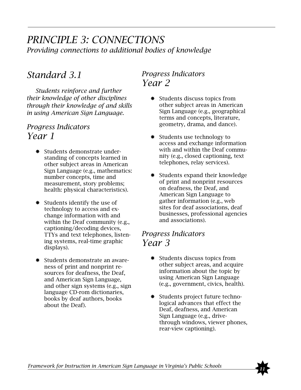### *PRINCIPLE 3: CONNECTIONS Providing connections to additional bodies of knowledge*

# *Standard 3.1*

*Students reinforce and further their knowledge of other disciplines through their knowledge of and skills in using American Sign Language.*

#### *Progress Indicators Year 1*

- ✸ Students demonstrate understanding of concepts learned in other subject areas in American Sign Language (e.g., mathematics: number concepts, time and measurement, story problems; health: physical characteristics).
- ✸ Students identify the use of technology to access and exchange information with and within the Deaf community (e.g., captioning/decoding devices, TTYs and text telephones, listening systems, real-time graphic displays).
- ✸ Students demonstrate an awareness of print and nonprint resources for deafness, the Deaf, and American Sign Language, and other sign systems (e.g., sign language CD-rom dictionaries, books by deaf authors, books about the Deaf).

#### *Progress Indicators Year 2*

- ✸ Students discuss topics from other subject areas in American Sign Language (e.g., geographical terms and concepts, literature, geometry, drama, and dance).
- ✸ Students use technology to access and exchange information with and within the Deaf community (e.g., closed captioning, text telephones, relay services).
- ✸ Students expand their knowledge of print and nonprint resources on deafness, the Deaf, and American Sign Language to gather information (e.g., web sites for deaf associations, deaf businesses, professional agencies and associations).

- ✸ Students discuss topics from other subject areas, and acquire information about the topic by using American Sign Language (e.g., government, civics, health).
- ✸ Students project future technological advances that effect the Deaf, deafness, and American Sign Language (e.g., drivethrough windows, viewer phones, rear-view captioning).

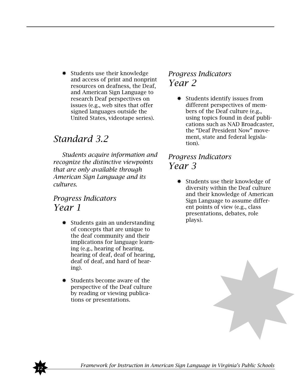✸ Students use their knowledge and access of print and nonprint resources on deafness, the Deaf, and American Sign Language to research Deaf perspectives on issues (e.g., web sites that offer signed languages outside the United States, videotape series).

# *Standard 3.2*

*Students acquire information and recognize the distinctive viewpoints that are only available through American Sign Language and its cultures.*

#### *Progress Indicators Year 1*

- ✸ Students gain an understanding of concepts that are unique to the deaf community and their implications for language learning (e.g., hearing of hearing, hearing of deaf, deaf of hearing, deaf of deaf, and hard of hearing).
- ✸ Students become aware of the perspective of the Deaf culture by reading or viewing publications or presentations.

#### *Progress Indicators Year 2*

✸ Students identify issues from different perspectives of members of the Deaf culture (e.g., using topics found in deaf publications such as NAD Broadcaster, the "Deaf President Now" movement, state and federal legislation).

#### *Progress Indicators Year 3*

✸ Students use their knowledge of diversity within the Deaf culture and their knowledge of American Sign Language to assume different points of view (e.g., class presentations, debates, role plays).



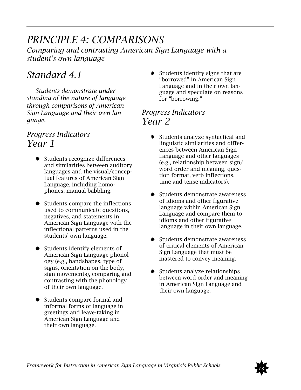#### *PRINCIPLE 4: COMPARISONS Comparing and contrasting American Sign Language with a student's own language*

# *Standard 4.1*

*Students demonstrate understanding of the nature of language through comparisons of American Sign Language and their own language.*

#### *Progress Indicators Year 1*

- ✸ Students recognize differences and similarities between auditory languages and the visual/conceptual features of American Sign Language, including homophones, manual babbling.
- ✸ Students compare the inflections used to communicate questions, negatives, and statements in American Sign Language with the inflectional patterns used in the students' own language.
- ✸ Students identify elements of American Sign Language phonology (e.g., handshapes, type of signs, orientation on the body, sign movements), comparing and contrasting with the phonology of their own language.
- ✸ Students compare formal and informal forms of language in greetings and leave-taking in American Sign Language and their own language.

Students identify signs that are "borrowed" in American Sign Language and in their own language and speculate on reasons for "borrowing."

#### *Progress Indicators Year 2*

- ✸ Students analyze syntactical and linguistic similarities and differences between American Sign Language and other languages (e.g., relationship between sign/ word order and meaning, question format, verb inflections, time and tense indicators).
- ✸ Students demonstrate awareness of idioms and other figurative language within American Sign Language and compare them to idioms and other figurative language in their own language.
- ✸ Students demonstrate awareness of critical elements of American Sign Language that must be mastered to convey meaning.
- ✸ Students analyze relationships between word order and meaning in American Sign Language and their own language.

*Framework for Instruction in American Sign Language in Virginia's Public Schools* 

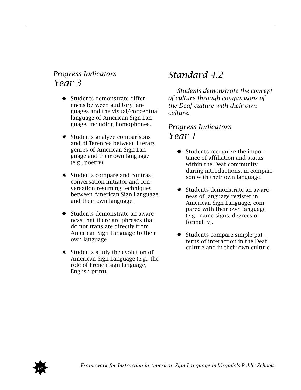#### *Progress Indicators Year 3*

- ✸ Students demonstrate differences between auditory languages and the visual/conceptual language of American Sign Language, including homophones.
- ✸ Students analyze comparisons and differences between literary genres of American Sign Language and their own language (e.g., poetry)
- ✸ Students compare and contrast conversation initiator and conversation resuming techniques between American Sign Language and their own language.
- ✸ Students demonstrate an awareness that there are phrases that do not translate directly from American Sign Language to their own language.
- ✸ Students study the evolution of American Sign Language (e.g., the role of French sign language, English print).

# *Standard 4.2*

*Students demonstrate the concept of culture through comparisons of the Deaf culture with their own culture.*

- ✸ Students recognize the importance of affiliation and status within the Deaf community during introductions, in comparison with their own language.
- ✸ Students demonstrate an awareness of language register in American Sign Language, compared with their own language (e.g., name signs, degrees of formality).
- ✸ Students compare simple patterns of interaction in the Deaf culture and in their own culture.

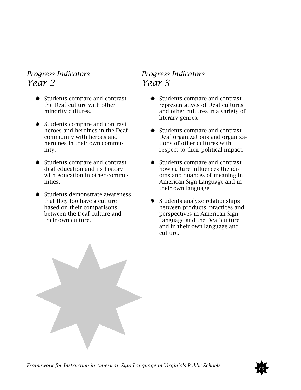#### *Progress Indicators Year 2*

- ✸ Students compare and contrast the Deaf culture with other minority cultures.
- ✸ Students compare and contrast heroes and heroines in the Deaf community with heroes and heroines in their own community.
- ✸ Students compare and contrast deaf education and its history with education in other communities.
- ✸ Students demonstrate awareness that they too have a culture based on their comparisons between the Deaf culture and their own culture.

- ✸ Students compare and contrast representatives of Deaf cultures and other cultures in a variety of literary genres.
- ✸ Students compare and contrast Deaf organizations and organizations of other cultures with respect to their political impact.
- ✸ Students compare and contrast how culture influences the idioms and nuances of meaning in American Sign Language and in their own language.
- ✸ Students analyze relationships between products, practices and perspectives in American Sign Language and the Deaf culture and in their own language and culture.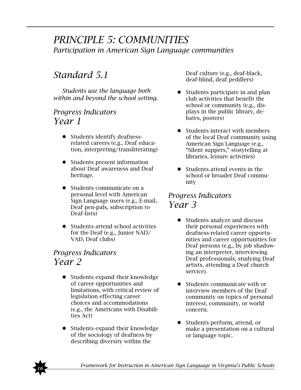#### *PRINCIPLE 5: COMMUNITIES Participation in American Sign Language communities*

# *Standard 5.1*

*Students use the language both within and beyond the school setting.*

#### *Progress Indicators Year 1*

- ✸ Students identify deafnessrelated careers (e.g., Deaf education, interpreting/transliterating)
- ✸ Students present information about Deaf awareness and Deaf heritage.
- ✸ Students communicate on a personal level with American Sign Language users (e.g., E-mail, Deaf pen-pals, subscription to Deaf-lists)
- ✸ Students attend school activities for the Deaf (e.g., Junior NAD/ VAD, Deaf clubs)

#### *Progress Indicators Year 2*

- ✸ Students expand their knowledge of career opportunities and limitations, with critical review of legislation effecting career choices and accommodations (e.g., the Americans with Disabilities Act)
- ✸ Students expand their knowledge of the sociology of deafness by describing diversity within the

Deaf culture (e.g., deaf-black, deaf-blind, deaf peddlers)

- Students participate in and plan club activities that benefit the school or community (e.g., displays in the public library, debates, posters)
- ✸ Students interact with members of the local Deaf community using American Sign Language (e.g., "Silent suppers," storytelling at libraries, leisure activities)
- ✸ Students attend events in the school or broader Deaf community

- ✸ Students analyze and discuss their personal experiences with deafness-related career opportunities and career opportunities for Deaf persons (e.g., by job shadowing an interpreter, interviewing Deaf professionals; studying Deaf artists, attending a Deaf church service).
- ✸ Students communicate with or interview members of the Deaf community on topics of personal interest, community, or world concern.
- ✸ Students perform, attend, or make a presentation on a cultural or language topic.

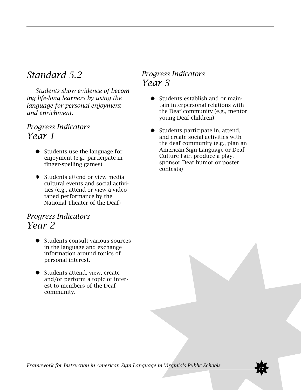### *Standard 5.2*

*Students show evidence of becoming life-long learners by using the language for personal enjoyment and enrichment.*

#### *Progress Indicators Year 1*

- ✸ Students use the language for enjoyment (e.g., participate in finger-spelling games)
- ✸ Students attend or view media cultural events and social activities (e.g., attend or view a videotaped performance by the National Theater of the Deaf)

#### *Progress Indicators Year 2*

- ✸ Students consult various sources in the language and exchange information around topics of personal interest.
- ✸ Students attend, view, create and/or perform a topic of interest to members of the Deaf community.

#### *Progress Indicators Year 3*

- ✸ Students establish and or maintain interpersonal relations with the Deaf community (e.g., mentor young Deaf children)
- ✸ Students participate in, attend, and create social activities with the deaf community (e.g., plan an American Sign Language or Deaf Culture Fair, produce a play, sponsor Deaf humor or poster contests)

*Framework for Instruction in American Sign Language in Virginia's Public Schools*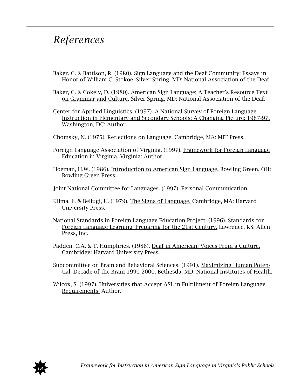# *References*

- Baker. C. & Battison, R. (1980). Sign Language and the Deaf Community: Essays in Honor of William C. Stokoe. Silver Spring, MD: National Association of the Deaf.
- Baker, C. & Cokely, D. (1980). American Sign Language: A Teacher's Resource Text on Grammar and Culture. Silver Spring, MD: National Association of the Deaf.
- Center for Applied Linguistics. (1997). A National Survey of Foreign Language Instruction in Elementary and Secondary Schools: A Changing Picture: 1987-97. Washington, DC: Author.
- Chomsky, N. (1975). Reflections on Language. Cambridge, MA: MIT Press.
- Foreign Language Association of Virginia. (1997). Framework for Foreign Language Education in Virginia. Virginia: Author.
- Hoeman, H.W. (1986). Introduction to American Sign Language. Bowling Green, OH: Bowling Green Press.
- Joint National Committee for Languages. (1997). Personal Communication.
- Klima, E. & Bellugi, U. (1979). The Signs of Language. Cambridge, MA: Harvard University Press.
- National Standards in Foreign Language Education Project. (1996). Standards for Foreign Language Learning: Preparing for the 21st Century. Lawrence, KS: Allen Press, Inc.
- Padden, C.A. & T. Humphries. (1988). Deaf in American: Voices From a Culture. Cambridge: Harvard University Press.
- Subcommittee on Brain and Behavioral Sciences. (1991). Maximizing Human Potential: Decade of the Brain 1990-2000. Bethesda, MD: National Institutes of Health.
- Wilcox, S. (1997). Universities that Accept ASL in Fulfillment of Foreign Language Requirements. Author.

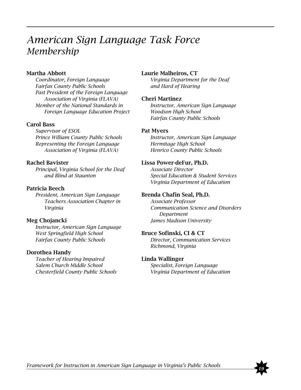# *American Sign Language Task Force Membership*

#### Martha Abbott

*Coordinator, Foreign Language Fairfax County Public Schools Past President of the Foreign Language Association of Virginia (FLAVA) Member of the National Standards in Foreign Language Education Project*

#### Carol Bass

*Supervisor of ESOL Prince William County Public Schools Representing the Foreign Language Association of Virginia (FLAVA)*

#### Rachel Bavister

*Principal, Virginia School for the Deaf and Blind at Staunton*

#### Patricia Beech

*President, American Sign Language Teachers Association Chapter in Virginia*

#### Meg Chojancki

*Instructor, American Sign Language West Springfield High School Fairfax County Public Schools*

#### Dorothea Handy

*Teacher of Hearing Impaired Salem Church Middle School Chesterfield County Public Schools*

#### Laurie Malheiros, CT

*Virginia Department for the Deaf and Hard of Hearing*

#### Cheri Martinez

*Instructor, American Sign Language Woodson High School Fairfax County Public Schools*

#### Pat Myers

*Instructor, American Sign Language Hermitage High School Henrico County Public Schools*

#### Lissa Power-deFur, Ph.D.

*Associate Director Special Education & Student Services Virginia Department of Education*

#### Brenda Chafin Seal, Ph.D.

*Associate Professor Communication Science and Disorders Department James Madison University*

#### Bruce Sofinski, CI & CT

*Director, Communication Services Richmond, Virginia*

#### Linda Wallinger

*Specialist, Foreign Language Virginia Department of Education*

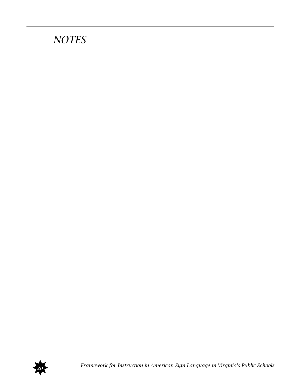# *NOTES*



✸*<sup>20</sup> Framework for Instruction in American Sign Language in Virginia's Public Schools*